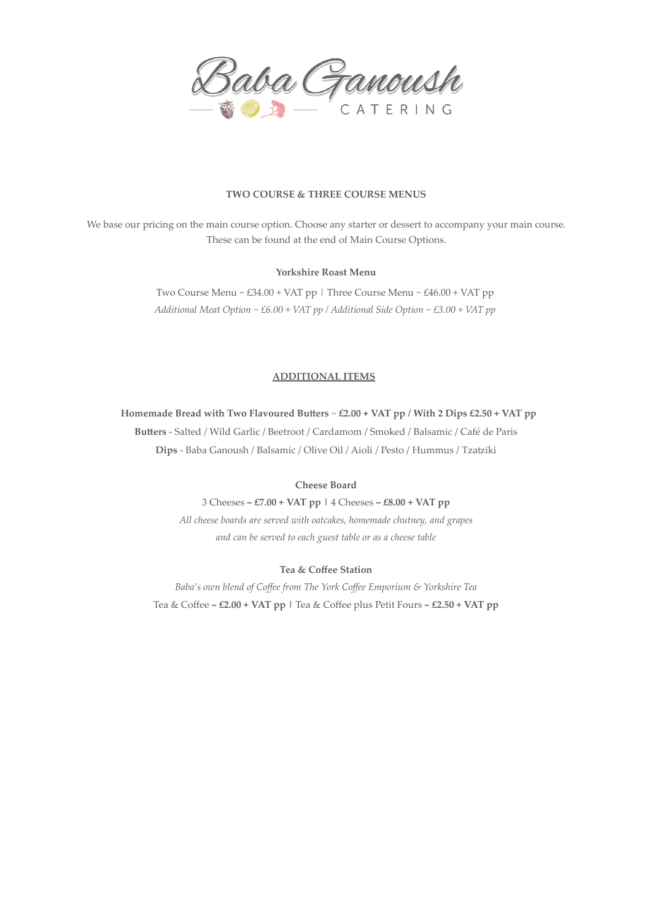

# **TWO COURSE & THREE COURSE MENUS**

We base our pricing on the main course option. Choose any starter or dessert to accompany your main course. These can be found at the end of Main Course Options.

# **Yorkshire Roast Menu**

Two Course Menu ~ £34.00 + VAT pp | Three Course Menu ~ £46.00 + VAT pp *Additional Meat Option ~ £6.00 + VAT pp / Additional Side Option ~ £3.00 + VAT pp*

#### **ADDITIONAL ITEMS**

**Homemade Bread with Two Flavoured Butters** ~ **£2.00 + VAT pp / With 2 Dips £2.50 + VAT pp**

**Butters** - Salted / Wild Garlic / Beetroot / Cardamom / Smoked / Balsamic / Café de Paris

**Dips** - Baba Ganoush / Balsamic / Olive Oil / Aioli / Pesto / Hummus / Tzatziki

# **Cheese Board**

3 Cheeses **~ £7.00 + VAT pp |** 4 Cheeses **~ £8.00 + VAT pp** *All cheese boards are served with oatcakes, homemade chutney, and grapes and can be served to each guest table or as a cheese table*

# **Tea & Coffee Station**

*Baba's own blend of Coffee from The York Coffee Emporium & Yorkshire Tea* Tea & Coffee **~ £2.00 + VAT pp |** Tea & Coffee plus Petit Fours **~ £2.50 + VAT pp**